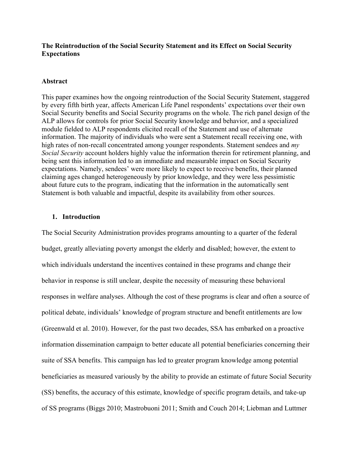## **The Reintroduction of the Social Security Statement and its Effect on Social Security Expectations**

### **Abstract**

This paper examines how the ongoing reintroduction of the Social Security Statement, staggered by every fifth birth year, affects American Life Panel respondents' expectations over their own Social Security benefits and Social Security programs on the whole. The rich panel design of the ALP allows for controls for prior Social Security knowledge and behavior, and a specialized module fielded to ALP respondents elicited recall of the Statement and use of alternate information. The majority of individuals who were sent a Statement recall receiving one, with high rates of non-recall concentrated among younger respondents. Statement sendees and *my Social Security* account holders highly value the information therein for retirement planning, and being sent this information led to an immediate and measurable impact on Social Security expectations. Namely, sendees' were more likely to expect to receive benefits, their planned claiming ages changed heterogeneously by prior knowledge, and they were less pessimistic about future cuts to the program, indicating that the information in the automatically sent Statement is both valuable and impactful, despite its availability from other sources.

### **1. Introduction**

The Social Security Administration provides programs amounting to a quarter of the federal budget, greatly alleviating poverty amongst the elderly and disabled; however, the extent to which individuals understand the incentives contained in these programs and change their behavior in response is still unclear, despite the necessity of measuring these behavioral responses in welfare analyses. Although the cost of these programs is clear and often a source of political debate, individuals' knowledge of program structure and benefit entitlements are low (Greenwald et al. 2010). However, for the past two decades, SSA has embarked on a proactive information dissemination campaign to better educate all potential beneficiaries concerning their suite of SSA benefits. This campaign has led to greater program knowledge among potential beneficiaries as measured variously by the ability to provide an estimate of future Social Security (SS) benefits, the accuracy of this estimate, knowledge of specific program details, and take-up of SS programs (Biggs 2010; Mastrobuoni 2011; Smith and Couch 2014; Liebman and Luttmer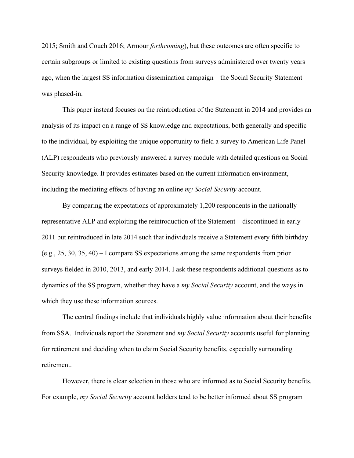2015; Smith and Couch 2016; Armour *forthcoming*), but these outcomes are often specific to certain subgroups or limited to existing questions from surveys administered over twenty years ago, when the largest SS information dissemination campaign – the Social Security Statement – was phased-in.

This paper instead focuses on the reintroduction of the Statement in 2014 and provides an analysis of its impact on a range of SS knowledge and expectations, both generally and specific to the individual, by exploiting the unique opportunity to field a survey to American Life Panel (ALP) respondents who previously answered a survey module with detailed questions on Social Security knowledge. It provides estimates based on the current information environment, including the mediating effects of having an online *my Social Security* account.

By comparing the expectations of approximately 1,200 respondents in the nationally representative ALP and exploiting the reintroduction of the Statement – discontinued in early 2011 but reintroduced in late 2014 such that individuals receive a Statement every fifth birthday (e.g., 25, 30, 35, 40) – I compare SS expectations among the same respondents from prior surveys fielded in 2010, 2013, and early 2014. I ask these respondents additional questions as to dynamics of the SS program, whether they have a *my Social Security* account, and the ways in which they use these information sources.

The central findings include that individuals highly value information about their benefits from SSA. Individuals report the Statement and *my Social Security* accounts useful for planning for retirement and deciding when to claim Social Security benefits, especially surrounding retirement.

However, there is clear selection in those who are informed as to Social Security benefits. For example, *my Social Security* account holders tend to be better informed about SS program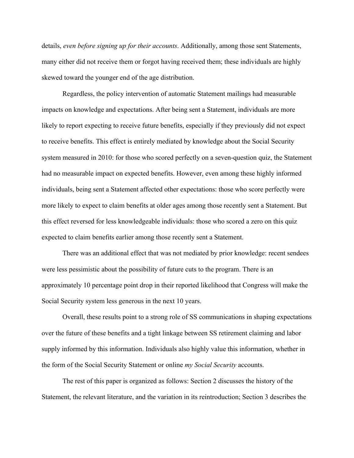details, *even before signing up for their accounts*. Additionally, among those sent Statements, many either did not receive them or forgot having received them; these individuals are highly skewed toward the younger end of the age distribution.

Regardless, the policy intervention of automatic Statement mailings had measurable impacts on knowledge and expectations. After being sent a Statement, individuals are more likely to report expecting to receive future benefits, especially if they previously did not expect to receive benefits. This effect is entirely mediated by knowledge about the Social Security system measured in 2010: for those who scored perfectly on a seven-question quiz, the Statement had no measurable impact on expected benefits. However, even among these highly informed individuals, being sent a Statement affected other expectations: those who score perfectly were more likely to expect to claim benefits at older ages among those recently sent a Statement. But this effect reversed for less knowledgeable individuals: those who scored a zero on this quiz expected to claim benefits earlier among those recently sent a Statement.

There was an additional effect that was not mediated by prior knowledge: recent sendees were less pessimistic about the possibility of future cuts to the program. There is an approximately 10 percentage point drop in their reported likelihood that Congress will make the Social Security system less generous in the next 10 years.

Overall, these results point to a strong role of SS communications in shaping expectations over the future of these benefits and a tight linkage between SS retirement claiming and labor supply informed by this information. Individuals also highly value this information, whether in the form of the Social Security Statement or online *my Social Security* accounts.

The rest of this paper is organized as follows: Section 2 discusses the history of the Statement, the relevant literature, and the variation in its reintroduction; Section 3 describes the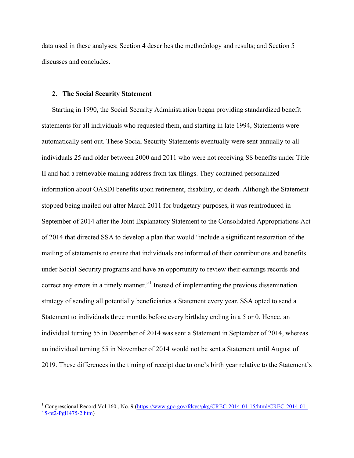data used in these analyses; Section 4 describes the methodology and results; and Section 5 discusses and concludes.

### **2. The Social Security Statement**

<u> 1989 - Johann Barn, mars ann an t-Amhain an t-Amhain an t-Amhain an t-Amhain an t-Amhain an t-Amhain an t-Amh</u>

Starting in 1990, the Social Security Administration began providing standardized benefit statements for all individuals who requested them, and starting in late 1994, Statements were automatically sent out. These Social Security Statements eventually were sent annually to all individuals 25 and older between 2000 and 2011 who were not receiving SS benefits under Title II and had a retrievable mailing address from tax filings. They contained personalized information about OASDI benefits upon retirement, disability, or death. Although the Statement stopped being mailed out after March 2011 for budgetary purposes, it was reintroduced in September of 2014 after the Joint Explanatory Statement to the Consolidated Appropriations Act of 2014 that directed SSA to develop a plan that would "include a significant restoration of the mailing of statements to ensure that individuals are informed of their contributions and benefits under Social Security programs and have an opportunity to review their earnings records and correct any errors in a timely manner."<sup>1</sup> Instead of implementing the previous dissemination strategy of sending all potentially beneficiaries a Statement every year, SSA opted to send a Statement to individuals three months before every birthday ending in a 5 or 0. Hence, an individual turning 55 in December of 2014 was sent a Statement in September of 2014, whereas an individual turning 55 in November of 2014 would not be sent a Statement until August of 2019. These differences in the timing of receipt due to one's birth year relative to the Statement's

<sup>&</sup>lt;sup>1</sup> Congressional Record Vol 160., No. 9 (https://www.gpo.gov/fdsys/pkg/CREC-2014-01-15/html/CREC-2014-01-15-pt2-PgH475-2.htm)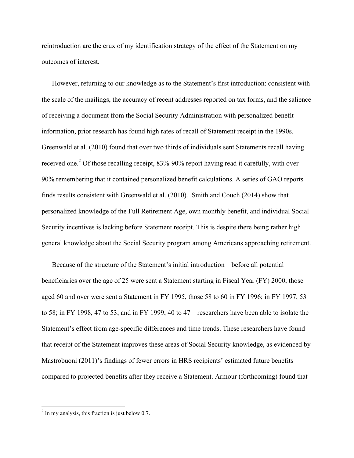reintroduction are the crux of my identification strategy of the effect of the Statement on my outcomes of interest.

However, returning to our knowledge as to the Statement's first introduction: consistent with the scale of the mailings, the accuracy of recent addresses reported on tax forms, and the salience of receiving a document from the Social Security Administration with personalized benefit information, prior research has found high rates of recall of Statement receipt in the 1990s. Greenwald et al. (2010) found that over two thirds of individuals sent Statements recall having received one.<sup>2</sup> Of those recalling receipt, 83%-90% report having read it carefully, with over 90% remembering that it contained personalized benefit calculations. A series of GAO reports finds results consistent with Greenwald et al. (2010). Smith and Couch (2014) show that personalized knowledge of the Full Retirement Age, own monthly benefit, and individual Social Security incentives is lacking before Statement receipt. This is despite there being rather high general knowledge about the Social Security program among Americans approaching retirement.

Because of the structure of the Statement's initial introduction – before all potential beneficiaries over the age of 25 were sent a Statement starting in Fiscal Year (FY) 2000, those aged 60 and over were sent a Statement in FY 1995, those 58 to 60 in FY 1996; in FY 1997, 53 to 58; in FY 1998, 47 to 53; and in FY 1999, 40 to 47 – researchers have been able to isolate the Statement's effect from age-specific differences and time trends. These researchers have found that receipt of the Statement improves these areas of Social Security knowledge, as evidenced by Mastrobuoni (2011)'s findings of fewer errors in HRS recipients' estimated future benefits compared to projected benefits after they receive a Statement. Armour (forthcoming) found that

<u> 1989 - Johann Barn, mars ann an t-Amhain an t-Amhain an t-Amhain an t-Amhain an t-Amhain an t-Amhain an t-Amh</u>

 $2 \text{ In my analysis, this fraction is just below } 0.7$ .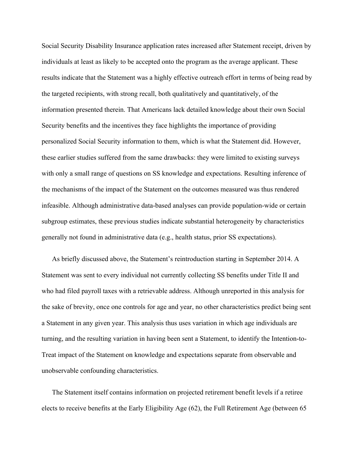Social Security Disability Insurance application rates increased after Statement receipt, driven by individuals at least as likely to be accepted onto the program as the average applicant. These results indicate that the Statement was a highly effective outreach effort in terms of being read by the targeted recipients, with strong recall, both qualitatively and quantitatively, of the information presented therein. That Americans lack detailed knowledge about their own Social Security benefits and the incentives they face highlights the importance of providing personalized Social Security information to them, which is what the Statement did. However, these earlier studies suffered from the same drawbacks: they were limited to existing surveys with only a small range of questions on SS knowledge and expectations. Resulting inference of the mechanisms of the impact of the Statement on the outcomes measured was thus rendered infeasible. Although administrative data-based analyses can provide population-wide or certain subgroup estimates, these previous studies indicate substantial heterogeneity by characteristics generally not found in administrative data (e.g., health status, prior SS expectations).

As briefly discussed above, the Statement's reintroduction starting in September 2014. A Statement was sent to every individual not currently collecting SS benefits under Title II and who had filed payroll taxes with a retrievable address. Although unreported in this analysis for the sake of brevity, once one controls for age and year, no other characteristics predict being sent a Statement in any given year. This analysis thus uses variation in which age individuals are turning, and the resulting variation in having been sent a Statement, to identify the Intention-to-Treat impact of the Statement on knowledge and expectations separate from observable and unobservable confounding characteristics.

The Statement itself contains information on projected retirement benefit levels if a retiree elects to receive benefits at the Early Eligibility Age (62), the Full Retirement Age (between 65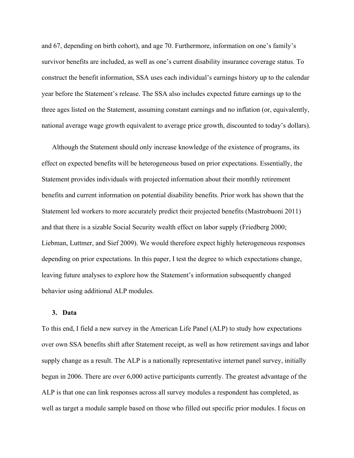and 67, depending on birth cohort), and age 70. Furthermore, information on one's family's survivor benefits are included, as well as one's current disability insurance coverage status. To construct the benefit information, SSA uses each individual's earnings history up to the calendar year before the Statement's release. The SSA also includes expected future earnings up to the three ages listed on the Statement, assuming constant earnings and no inflation (or, equivalently, national average wage growth equivalent to average price growth, discounted to today's dollars).

Although the Statement should only increase knowledge of the existence of programs, its effect on expected benefits will be heterogeneous based on prior expectations. Essentially, the Statement provides individuals with projected information about their monthly retirement benefits and current information on potential disability benefits. Prior work has shown that the Statement led workers to more accurately predict their projected benefits (Mastrobuoni 2011) and that there is a sizable Social Security wealth effect on labor supply (Friedberg 2000; Liebman, Luttmer, and Sief 2009). We would therefore expect highly heterogeneous responses depending on prior expectations. In this paper, I test the degree to which expectations change, leaving future analyses to explore how the Statement's information subsequently changed behavior using additional ALP modules.

#### **3. Data**

To this end, I field a new survey in the American Life Panel (ALP) to study how expectations over own SSA benefits shift after Statement receipt, as well as how retirement savings and labor supply change as a result. The ALP is a nationally representative internet panel survey, initially begun in 2006. There are over 6,000 active participants currently. The greatest advantage of the ALP is that one can link responses across all survey modules a respondent has completed, as well as target a module sample based on those who filled out specific prior modules. I focus on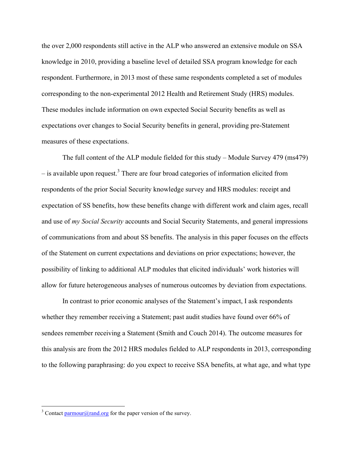the over 2,000 respondents still active in the ALP who answered an extensive module on SSA knowledge in 2010, providing a baseline level of detailed SSA program knowledge for each respondent. Furthermore, in 2013 most of these same respondents completed a set of modules corresponding to the non-experimental 2012 Health and Retirement Study (HRS) modules. These modules include information on own expected Social Security benefits as well as expectations over changes to Social Security benefits in general, providing pre-Statement measures of these expectations.

The full content of the ALP module fielded for this study – Module Survey 479 (ms479) – is available upon request. <sup>3</sup> There are four broad categories of information elicited from respondents of the prior Social Security knowledge survey and HRS modules: receipt and expectation of SS benefits, how these benefits change with different work and claim ages, recall and use of *my Social Security* accounts and Social Security Statements, and general impressions of communications from and about SS benefits. The analysis in this paper focuses on the effects of the Statement on current expectations and deviations on prior expectations; however, the possibility of linking to additional ALP modules that elicited individuals' work histories will allow for future heterogeneous analyses of numerous outcomes by deviation from expectations.

In contrast to prior economic analyses of the Statement's impact, I ask respondents whether they remember receiving a Statement; past audit studies have found over 66% of sendees remember receiving a Statement (Smith and Couch 2014). The outcome measures for this analysis are from the 2012 HRS modules fielded to ALP respondents in 2013, corresponding to the following paraphrasing: do you expect to receive SSA benefits, at what age, and what type

<u> 1989 - Johann Barn, mars ann an t-Amhain an t-Amhain an t-Amhain an t-Amhain an t-Amhain an t-Amhain an t-Amh</u>

<sup>&</sup>lt;sup>3</sup> Contact  $\frac{paramour(\partial, \text{rand.org}}{n}$  for the paper version of the survey.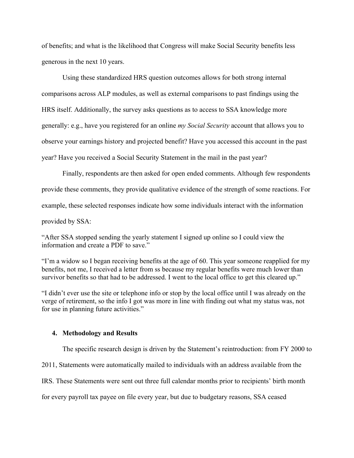of benefits; and what is the likelihood that Congress will make Social Security benefits less generous in the next 10 years.

Using these standardized HRS question outcomes allows for both strong internal comparisons across ALP modules, as well as external comparisons to past findings using the HRS itself. Additionally, the survey asks questions as to access to SSA knowledge more generally: e.g., have you registered for an online *my Social Security* account that allows you to observe your earnings history and projected benefit? Have you accessed this account in the past year? Have you received a Social Security Statement in the mail in the past year?

Finally, respondents are then asked for open ended comments. Although few respondents provide these comments, they provide qualitative evidence of the strength of some reactions. For example, these selected responses indicate how some individuals interact with the information provided by SSA:

"After SSA stopped sending the yearly statement I signed up online so I could view the information and create a PDF to save."

"I'm a widow so I began receiving benefits at the age of 60. This year someone reapplied for my benefits, not me, I received a letter from ss because my regular benefits were much lower than survivor benefits so that had to be addressed. I went to the local office to get this cleared up."

"I didn't ever use the site or telephone info or stop by the local office until I was already on the verge of retirement, so the info I got was more in line with finding out what my status was, not for use in planning future activities."

## **4. Methodology and Results**

The specific research design is driven by the Statement's reintroduction: from FY 2000 to

2011, Statements were automatically mailed to individuals with an address available from the

IRS. These Statements were sent out three full calendar months prior to recipients' birth month

for every payroll tax payee on file every year, but due to budgetary reasons, SSA ceased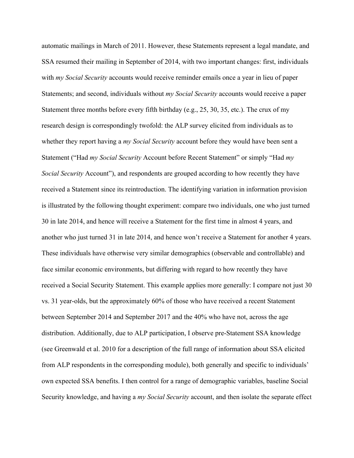automatic mailings in March of 2011. However, these Statements represent a legal mandate, and SSA resumed their mailing in September of 2014, with two important changes: first, individuals with *my Social Security* accounts would receive reminder emails once a year in lieu of paper Statements; and second, individuals without *my Social Security* accounts would receive a paper Statement three months before every fifth birthday (e.g., 25, 30, 35, etc.). The crux of my research design is correspondingly twofold: the ALP survey elicited from individuals as to whether they report having a *my Social Security* account before they would have been sent a Statement ("Had *my Social Security* Account before Recent Statement" or simply "Had *my Social Security* Account"), and respondents are grouped according to how recently they have received a Statement since its reintroduction. The identifying variation in information provision is illustrated by the following thought experiment: compare two individuals, one who just turned 30 in late 2014, and hence will receive a Statement for the first time in almost 4 years, and another who just turned 31 in late 2014, and hence won't receive a Statement for another 4 years. These individuals have otherwise very similar demographics (observable and controllable) and face similar economic environments, but differing with regard to how recently they have received a Social Security Statement. This example applies more generally: I compare not just 30 vs. 31 year-olds, but the approximately 60% of those who have received a recent Statement between September 2014 and September 2017 and the 40% who have not, across the age distribution. Additionally, due to ALP participation, I observe pre-Statement SSA knowledge (see Greenwald et al. 2010 for a description of the full range of information about SSA elicited from ALP respondents in the corresponding module), both generally and specific to individuals' own expected SSA benefits. I then control for a range of demographic variables, baseline Social Security knowledge, and having a *my Social Security* account, and then isolate the separate effect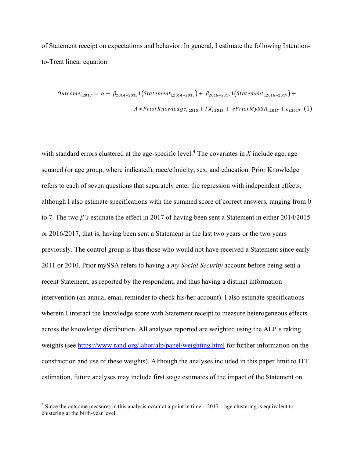of Statement receipt on expectations and behavior. In general, I estimate the following Intentionto-Treat linear equation:

$$
Outcome_{i,2017} = \alpha + \beta_{2014-2015} \left( Statement_{i,2014-2015} \right) + \beta_{2016-2017} \left( Statement_{i,2016-2017} \right) +
$$
  

$$
A * PriorKnowledge_{i,2010} + FX_{i,2013} + \gamma PriorMySSA_{i,2017} + \varepsilon_{i,2017} \left( 1 \right)
$$

with standard errors clustered at the age-specific level.<sup>4</sup> The covariates in *X* include age, age squared (or age group, where indicated), race/ethnicity, sex, and education. Prior Knowledge refers to each of seven questions that separately enter the regression with independent effects, although I also estimate specifications with the summed score of correct answers, ranging from 0 to 7. The two *β's* estimate the effect in 2017 of having been sent a Statement in either 2014/2015 or 2016/2017, that is, having been sent a Statement in the last two years or the two years previously. The control group is thus those who would not have received a Statement since early 2011 or 2010. Prior mySSA refers to having a *my Social Security* account before being sent a recent Statement, as reported by the respondent, and thus having a distinct information intervention (an annual email reminder to check his/her account). I also estimate specifications wherein I interact the knowledge score with Statement receipt to measure heterogeneous effects across the knowledge distribution. All analyses reported are weighted using the ALP's raking weights (see https://www.rand.org/labor/alp/panel/weighting.html for further information on the construction and use of these weights). Although the analyses included in this paper limit to ITT estimation, future analyses may include first stage estimates of the impact of the Statement on

<u> 1989 - Johann Barn, mars ann an t-Amhain an t-Amhain an t-Amhain an t-Amhain an t-Amhain an t-Amhain an t-Amh</u>

 $4$  Since the outcome measures in this analysis occur at a point in time  $-2017$  – age clustering is equivalent to clustering at the birth-year level.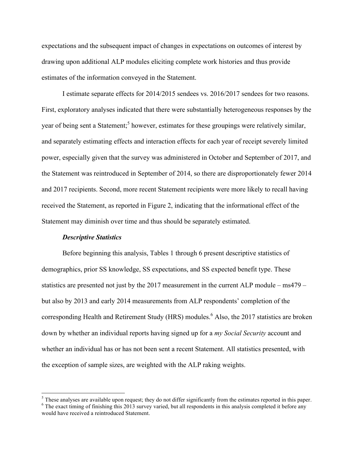expectations and the subsequent impact of changes in expectations on outcomes of interest by drawing upon additional ALP modules eliciting complete work histories and thus provide estimates of the information conveyed in the Statement.

I estimate separate effects for 2014/2015 sendees vs. 2016/2017 sendees for two reasons. First, exploratory analyses indicated that there were substantially heterogeneous responses by the year of being sent a Statement;<sup>5</sup> however, estimates for these groupings were relatively similar, and separately estimating effects and interaction effects for each year of receipt severely limited power, especially given that the survey was administered in October and September of 2017, and the Statement was reintroduced in September of 2014, so there are disproportionately fewer 2014 and 2017 recipients. Second, more recent Statement recipients were more likely to recall having received the Statement, as reported in Figure 2, indicating that the informational effect of the Statement may diminish over time and thus should be separately estimated.

### *Descriptive Statistics*

Before beginning this analysis, Tables 1 through 6 present descriptive statistics of demographics, prior SS knowledge, SS expectations, and SS expected benefit type. These statistics are presented not just by the 2017 measurement in the current ALP module – ms479 – but also by 2013 and early 2014 measurements from ALP respondents' completion of the corresponding Health and Retirement Study (HRS) modules.<sup>6</sup> Also, the 2017 statistics are broken down by whether an individual reports having signed up for a *my Social Security* account and whether an individual has or has not been sent a recent Statement. All statistics presented, with the exception of sample sizes, are weighted with the ALP raking weights.

 

 $\frac{5}{10}$  These analyses are available upon request; they do not differ significantly from the estimates reported in this paper.<br><sup>6</sup> The exact timing of finishing this 2013 survey varied, but all respondents in this anal

would have received a reintroduced Statement.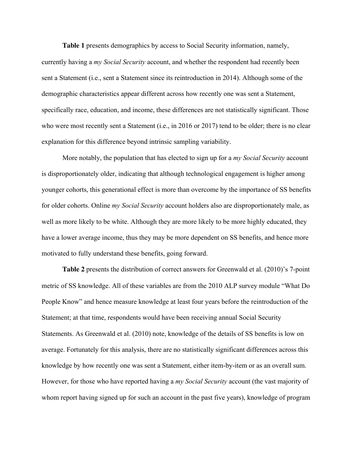**Table 1** presents demographics by access to Social Security information, namely,

currently having a *my Social Security* account, and whether the respondent had recently been sent a Statement (i.e., sent a Statement since its reintroduction in 2014). Although some of the demographic characteristics appear different across how recently one was sent a Statement, specifically race, education, and income, these differences are not statistically significant. Those who were most recently sent a Statement (i.e., in 2016 or 2017) tend to be older; there is no clear explanation for this difference beyond intrinsic sampling variability.

More notably, the population that has elected to sign up for a *my Social Security* account is disproportionately older, indicating that although technological engagement is higher among younger cohorts, this generational effect is more than overcome by the importance of SS benefits for older cohorts. Online *my Social Security* account holders also are disproportionately male, as well as more likely to be white. Although they are more likely to be more highly educated, they have a lower average income, thus they may be more dependent on SS benefits, and hence more motivated to fully understand these benefits, going forward.

**Table 2** presents the distribution of correct answers for Greenwald et al. (2010)'s 7-point metric of SS knowledge. All of these variables are from the 2010 ALP survey module "What Do People Know" and hence measure knowledge at least four years before the reintroduction of the Statement; at that time, respondents would have been receiving annual Social Security Statements. As Greenwald et al. (2010) note, knowledge of the details of SS benefits is low on average. Fortunately for this analysis, there are no statistically significant differences across this knowledge by how recently one was sent a Statement, either item-by-item or as an overall sum. However, for those who have reported having a *my Social Security* account (the vast majority of whom report having signed up for such an account in the past five years), knowledge of program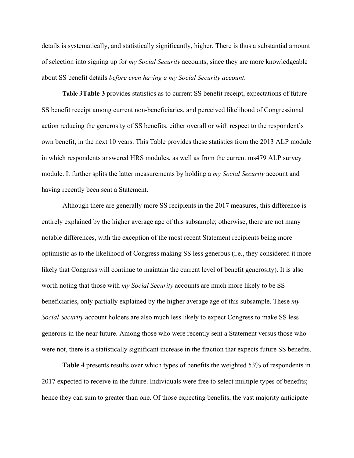details is systematically, and statistically significantly, higher. There is thus a substantial amount of selection into signing up for *my Social Security* accounts, since they are more knowledgeable about SS benefit details *before even having a my Social Security account*.

**Table** *3***Table 3** provides statistics as to current SS benefit receipt, expectations of future SS benefit receipt among current non-beneficiaries, and perceived likelihood of Congressional action reducing the generosity of SS benefits, either overall or with respect to the respondent's own benefit, in the next 10 years. This Table provides these statistics from the 2013 ALP module in which respondents answered HRS modules, as well as from the current ms479 ALP survey module. It further splits the latter measurements by holding a *my Social Security* account and having recently been sent a Statement.

Although there are generally more SS recipients in the 2017 measures, this difference is entirely explained by the higher average age of this subsample; otherwise, there are not many notable differences, with the exception of the most recent Statement recipients being more optimistic as to the likelihood of Congress making SS less generous (i.e., they considered it more likely that Congress will continue to maintain the current level of benefit generosity). It is also worth noting that those with *my Social Security* accounts are much more likely to be SS beneficiaries, only partially explained by the higher average age of this subsample. These *my Social Security* account holders are also much less likely to expect Congress to make SS less generous in the near future. Among those who were recently sent a Statement versus those who were not, there is a statistically significant increase in the fraction that expects future SS benefits.

**Table 4** presents results over which types of benefits the weighted 53% of respondents in 2017 expected to receive in the future. Individuals were free to select multiple types of benefits; hence they can sum to greater than one. Of those expecting benefits, the vast majority anticipate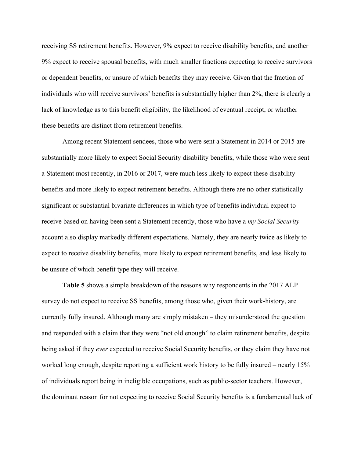receiving SS retirement benefits. However, 9% expect to receive disability benefits, and another 9% expect to receive spousal benefits, with much smaller fractions expecting to receive survivors or dependent benefits, or unsure of which benefits they may receive. Given that the fraction of individuals who will receive survivors' benefits is substantially higher than 2%, there is clearly a lack of knowledge as to this benefit eligibility, the likelihood of eventual receipt, or whether these benefits are distinct from retirement benefits.

Among recent Statement sendees, those who were sent a Statement in 2014 or 2015 are substantially more likely to expect Social Security disability benefits, while those who were sent a Statement most recently, in 2016 or 2017, were much less likely to expect these disability benefits and more likely to expect retirement benefits. Although there are no other statistically significant or substantial bivariate differences in which type of benefits individual expect to receive based on having been sent a Statement recently, those who have a *my Social Security* account also display markedly different expectations. Namely, they are nearly twice as likely to expect to receive disability benefits, more likely to expect retirement benefits, and less likely to be unsure of which benefit type they will receive.

**Table 5** shows a simple breakdown of the reasons why respondents in the 2017 ALP survey do not expect to receive SS benefits, among those who, given their work-history, are currently fully insured. Although many are simply mistaken – they misunderstood the question and responded with a claim that they were "not old enough" to claim retirement benefits, despite being asked if they *ever* expected to receive Social Security benefits, or they claim they have not worked long enough, despite reporting a sufficient work history to be fully insured – nearly 15% of individuals report being in ineligible occupations, such as public-sector teachers. However, the dominant reason for not expecting to receive Social Security benefits is a fundamental lack of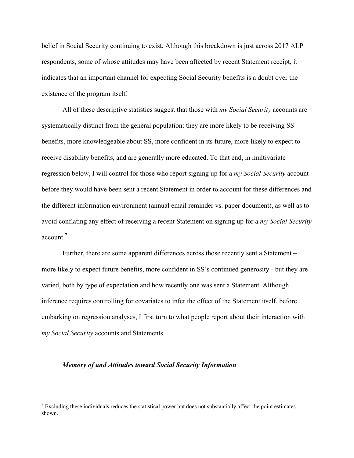belief in Social Security continuing to exist. Although this breakdown is just across 2017 ALP respondents, some of whose attitudes may have been affected by recent Statement receipt, it indicates that an important channel for expecting Social Security benefits is a doubt over the existence of the program itself.

All of these descriptive statistics suggest that those with *my Social Security* accounts are systematically distinct from the general population: they are more likely to be receiving SS benefits, more knowledgeable about SS, more confident in its future, more likely to expect to receive disability benefits, and are generally more educated. To that end, in multivariate regression below, I will control for those who report signing up for a *my Social Security* account before they would have been sent a recent Statement in order to account for these differences and the different information environment (annual email reminder vs. paper document), as well as to avoid conflating any effect of receiving a recent Statement on signing up for a *my Social Security* account $<sup>7</sup>$ </sup>

Further, there are some apparent differences across those recently sent a Statement – more likely to expect future benefits, more confident in SS's continued generosity - but they are varied, both by type of expectation and how recently one was sent a Statement. Although inference requires controlling for covariates to infer the effect of the Statement itself, before embarking on regression analyses, I first turn to what people report about their interaction with *my Social Security* accounts and Statements.

### *Memory of and Attitudes toward Social Security Information*

<u> 1989 - Johann Barn, mars ann an t-Amhain an t-Amhain an t-Amhain an t-Amhain an t-Amhain an t-Amhain an t-Amh</u>

 $7$  Excluding these individuals reduces the statistical power but does not substantially affect the point estimates shown.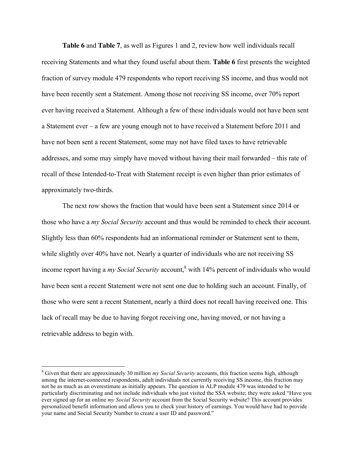**Table 6** and **Table 7**, as well as Figures 1 and 2, review how well individuals recall receiving Statements and what they found useful about them. **Table 6** first presents the weighted fraction of survey module 479 respondents who report receiving SS income, and thus would not have been recently sent a Statement. Among those not receiving SS income, over 70% report ever having received a Statement. Although a few of these individuals would not have been sent a Statement ever – a few are young enough not to have received a Statement before 2011 and have not been sent a recent Statement, some may not have filed taxes to have retrievable addresses, and some may simply have moved without having their mail forwarded – this rate of recall of these Intended-to-Treat with Statement receipt is even higher than prior estimates of approximately two-thirds.

The next row shows the fraction that would have been sent a Statement since 2014 or those who have a *my Social Security* account and thus would be reminded to check their account. Slightly less than 60% respondents had an informational reminder or Statement sent to them, while slightly over 40% have not. Nearly a quarter of individuals who are not receiving SS income report having a *my Social Security* account,<sup>8</sup> with 14% percent of individuals who would have been sent a recent Statement were not sent one due to holding such an account. Finally, of those who were sent a recent Statement, nearly a third does not recall having received one. This lack of recall may be due to having forgot receiving one, having moved, or not having a retrievable address to begin with.

<u> 1989 - Johann Barn, mars ann an t-Amhain an t-Amhain an t-Amhain an t-Amhain an t-Amhain an t-Amhain an t-Amh</u>

<sup>8</sup> Given that there are approximately 30 million *my Social Security* accounts, this fraction seems high, although among the internet-connected respondents, adult individuals not currently receiving SS income, this fraction may not be as much as an overestimate as initially appears. The question in ALP module 479 was intended to be particularly discriminating and not include individuals who just visited the SSA website; they were asked "Have you ever signed up for an online *my Social Security* account from the Social Security website? This account provides personalized benefit information and allows you to check your history of earnings. You would have had to provide your name and Social Security Number to create a user ID and password."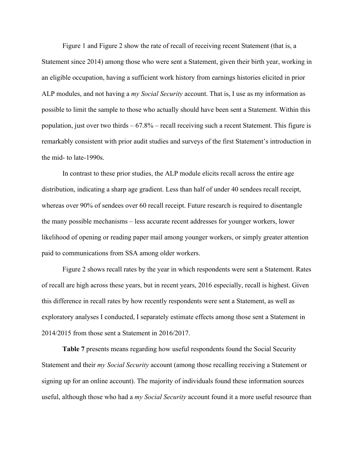Figure 1 and Figure 2 show the rate of recall of receiving recent Statement (that is, a Statement since 2014) among those who were sent a Statement, given their birth year, working in an eligible occupation, having a sufficient work history from earnings histories elicited in prior ALP modules, and not having a *my Social Security* account. That is, I use as my information as possible to limit the sample to those who actually should have been sent a Statement. Within this population, just over two thirds – 67.8% – recall receiving such a recent Statement. This figure is remarkably consistent with prior audit studies and surveys of the first Statement's introduction in the mid- to late-1990s.

In contrast to these prior studies, the ALP module elicits recall across the entire age distribution, indicating a sharp age gradient. Less than half of under 40 sendees recall receipt, whereas over 90% of sendees over 60 recall receipt. Future research is required to disentangle the many possible mechanisms – less accurate recent addresses for younger workers, lower likelihood of opening or reading paper mail among younger workers, or simply greater attention paid to communications from SSA among older workers.

Figure 2 shows recall rates by the year in which respondents were sent a Statement. Rates of recall are high across these years, but in recent years, 2016 especially, recall is highest. Given this difference in recall rates by how recently respondents were sent a Statement, as well as exploratory analyses I conducted, I separately estimate effects among those sent a Statement in 2014/2015 from those sent a Statement in 2016/2017.

**Table 7** presents means regarding how useful respondents found the Social Security Statement and their *my Social Security* account (among those recalling receiving a Statement or signing up for an online account). The majority of individuals found these information sources useful, although those who had a *my Social Security* account found it a more useful resource than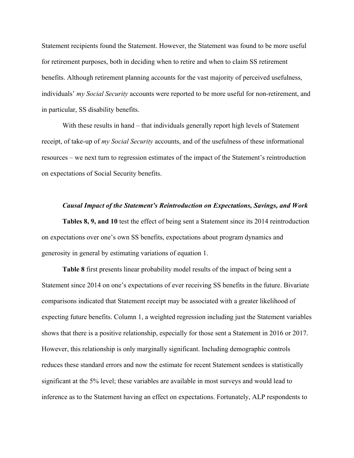Statement recipients found the Statement. However, the Statement was found to be more useful for retirement purposes, both in deciding when to retire and when to claim SS retirement benefits. Although retirement planning accounts for the vast majority of perceived usefulness, individuals' *my Social Security* accounts were reported to be more useful for non-retirement, and in particular, SS disability benefits.

With these results in hand – that individuals generally report high levels of Statement receipt, of take-up of *my Social Security* accounts, and of the usefulness of these informational resources – we next turn to regression estimates of the impact of the Statement's reintroduction on expectations of Social Security benefits.

#### *Causal Impact of the Statement's Reintroduction on Expectations, Savings, and Work*

**Tables 8, 9, and 10** test the effect of being sent a Statement since its 2014 reintroduction on expectations over one's own SS benefits, expectations about program dynamics and generosity in general by estimating variations of equation 1.

**Table 8** first presents linear probability model results of the impact of being sent a Statement since 2014 on one's expectations of ever receiving SS benefits in the future. Bivariate comparisons indicated that Statement receipt may be associated with a greater likelihood of expecting future benefits. Column 1, a weighted regression including just the Statement variables shows that there is a positive relationship, especially for those sent a Statement in 2016 or 2017. However, this relationship is only marginally significant. Including demographic controls reduces these standard errors and now the estimate for recent Statement sendees is statistically significant at the 5% level; these variables are available in most surveys and would lead to inference as to the Statement having an effect on expectations. Fortunately, ALP respondents to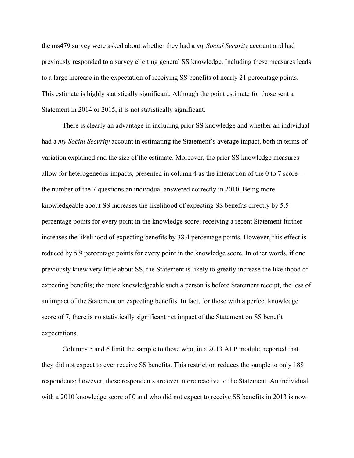the ms479 survey were asked about whether they had a *my Social Security* account and had previously responded to a survey eliciting general SS knowledge. Including these measures leads to a large increase in the expectation of receiving SS benefits of nearly 21 percentage points. This estimate is highly statistically significant. Although the point estimate for those sent a Statement in 2014 or 2015, it is not statistically significant.

There is clearly an advantage in including prior SS knowledge and whether an individual had a *my Social Security* account in estimating the Statement's average impact, both in terms of variation explained and the size of the estimate. Moreover, the prior SS knowledge measures allow for heterogeneous impacts, presented in column 4 as the interaction of the 0 to 7 score – the number of the 7 questions an individual answered correctly in 2010. Being more knowledgeable about SS increases the likelihood of expecting SS benefits directly by 5.5 percentage points for every point in the knowledge score; receiving a recent Statement further increases the likelihood of expecting benefits by 38.4 percentage points. However, this effect is reduced by 5.9 percentage points for every point in the knowledge score. In other words, if one previously knew very little about SS, the Statement is likely to greatly increase the likelihood of expecting benefits; the more knowledgeable such a person is before Statement receipt, the less of an impact of the Statement on expecting benefits. In fact, for those with a perfect knowledge score of 7, there is no statistically significant net impact of the Statement on SS benefit expectations.

Columns 5 and 6 limit the sample to those who, in a 2013 ALP module, reported that they did not expect to ever receive SS benefits. This restriction reduces the sample to only 188 respondents; however, these respondents are even more reactive to the Statement. An individual with a 2010 knowledge score of 0 and who did not expect to receive SS benefits in 2013 is now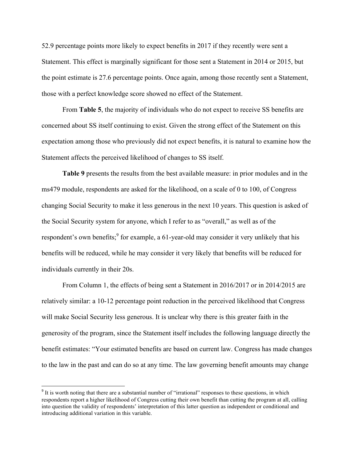52.9 percentage points more likely to expect benefits in 2017 if they recently were sent a Statement. This effect is marginally significant for those sent a Statement in 2014 or 2015, but the point estimate is 27.6 percentage points. Once again, among those recently sent a Statement, those with a perfect knowledge score showed no effect of the Statement.

From **Table 5**, the majority of individuals who do not expect to receive SS benefits are concerned about SS itself continuing to exist. Given the strong effect of the Statement on this expectation among those who previously did not expect benefits, it is natural to examine how the Statement affects the perceived likelihood of changes to SS itself.

**Table 9** presents the results from the best available measure: in prior modules and in the ms479 module, respondents are asked for the likelihood, on a scale of 0 to 100, of Congress changing Social Security to make it less generous in the next 10 years. This question is asked of the Social Security system for anyone, which I refer to as "overall," as well as of the respondent's own benefits;<sup>9</sup> for example, a 61-year-old may consider it very unlikely that his benefits will be reduced, while he may consider it very likely that benefits will be reduced for individuals currently in their 20s.

From Column 1, the effects of being sent a Statement in 2016/2017 or in 2014/2015 are relatively similar: a 10-12 percentage point reduction in the perceived likelihood that Congress will make Social Security less generous. It is unclear why there is this greater faith in the generosity of the program, since the Statement itself includes the following language directly the benefit estimates: "Your estimated benefits are based on current law. Congress has made changes to the law in the past and can do so at any time. The law governing benefit amounts may change

<u> 1989 - Johann Barn, mars ann an t-Amhain an t-Amhain an t-Amhain an t-Amhain an t-Amhain an t-Amhain an t-Amh</u>

<sup>&</sup>lt;sup>9</sup> It is worth noting that there are a substantial number of "irrational" responses to these questions, in which respondents report a higher likelihood of Congress cutting their own benefit than cutting the program at all, calling into question the validity of respondents' interpretation of this latter question as independent or conditional and introducing additional variation in this variable.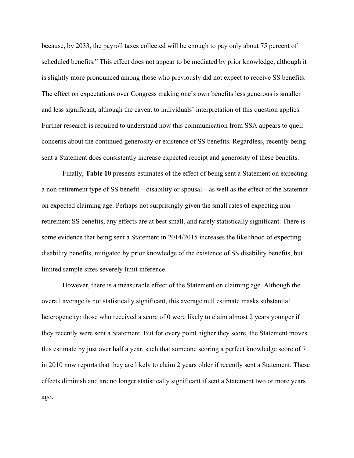because, by 2033, the payroll taxes collected will be enough to pay only about 75 percent of scheduled benefits." This effect does not appear to be mediated by prior knowledge, although it is slightly more pronounced among those who previously did not expect to receive SS benefits. The effect on expectations over Congress making one's own benefits less generous is smaller and less significant, although the caveat to individuals' interpretation of this question applies. Further research is required to understand how this communication from SSA appears to quell concerns about the continued generosity or existence of SS benefits. Regardless, recently being sent a Statement does consistently increase expected receipt and generosity of these benefits.

Finally, **Table 10** presents estimates of the effect of being sent a Statement on expecting a non-retirement type of SS benefit – disability or spousal – as well as the effect of the Statemnt on expected claiming age. Perhaps not surprisingly given the small rates of expecting nonretirement SS benefits, any effects are at best small, and rarely statistically significant. There is some evidence that being sent a Statement in 2014/2015 increases the likelihood of expecting disability benefits, mitigated by prior knowledge of the existence of SS disability benefits, but limited sample sizes severely limit inference.

However, there is a measurable effect of the Statement on claiming age. Although the overall average is not statistically significant, this average null estimate masks substantial heterogeneity: those who received a score of 0 were likely to claim almost 2 years younger if they recently were sent a Statement. But for every point higher they score, the Statement moves this estimate by just over half a year, such that someone scoring a perfect knowledge score of 7 in 2010 now reports that they are likely to claim 2 years older if recently sent a Statement. These effects diminish and are no longer statistically significant if sent a Statement two or more years ago.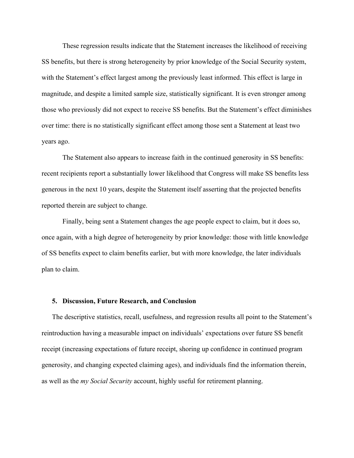These regression results indicate that the Statement increases the likelihood of receiving SS benefits, but there is strong heterogeneity by prior knowledge of the Social Security system, with the Statement's effect largest among the previously least informed. This effect is large in magnitude, and despite a limited sample size, statistically significant. It is even stronger among those who previously did not expect to receive SS benefits. But the Statement's effect diminishes over time: there is no statistically significant effect among those sent a Statement at least two years ago.

The Statement also appears to increase faith in the continued generosity in SS benefits: recent recipients report a substantially lower likelihood that Congress will make SS benefits less generous in the next 10 years, despite the Statement itself asserting that the projected benefits reported therein are subject to change.

Finally, being sent a Statement changes the age people expect to claim, but it does so, once again, with a high degree of heterogeneity by prior knowledge: those with little knowledge of SS benefits expect to claim benefits earlier, but with more knowledge, the later individuals plan to claim.

### **5. Discussion, Future Research, and Conclusion**

The descriptive statistics, recall, usefulness, and regression results all point to the Statement's reintroduction having a measurable impact on individuals' expectations over future SS benefit receipt (increasing expectations of future receipt, shoring up confidence in continued program generosity, and changing expected claiming ages), and individuals find the information therein, as well as the *my Social Security* account, highly useful for retirement planning.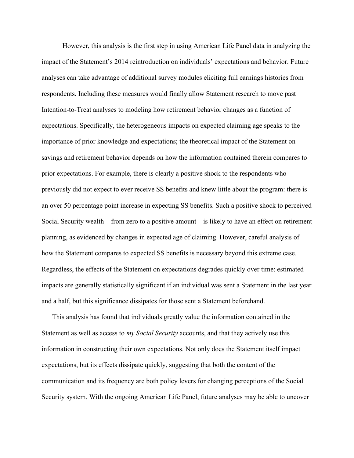However, this analysis is the first step in using American Life Panel data in analyzing the impact of the Statement's 2014 reintroduction on individuals' expectations and behavior. Future analyses can take advantage of additional survey modules eliciting full earnings histories from respondents. Including these measures would finally allow Statement research to move past Intention-to-Treat analyses to modeling how retirement behavior changes as a function of expectations. Specifically, the heterogeneous impacts on expected claiming age speaks to the importance of prior knowledge and expectations; the theoretical impact of the Statement on savings and retirement behavior depends on how the information contained therein compares to prior expectations. For example, there is clearly a positive shock to the respondents who previously did not expect to ever receive SS benefits and knew little about the program: there is an over 50 percentage point increase in expecting SS benefits. Such a positive shock to perceived Social Security wealth – from zero to a positive amount – is likely to have an effect on retirement planning, as evidenced by changes in expected age of claiming. However, careful analysis of how the Statement compares to expected SS benefits is necessary beyond this extreme case. Regardless, the effects of the Statement on expectations degrades quickly over time: estimated impacts are generally statistically significant if an individual was sent a Statement in the last year and a half, but this significance dissipates for those sent a Statement beforehand.

This analysis has found that individuals greatly value the information contained in the Statement as well as access to *my Social Security* accounts, and that they actively use this information in constructing their own expectations. Not only does the Statement itself impact expectations, but its effects dissipate quickly, suggesting that both the content of the communication and its frequency are both policy levers for changing perceptions of the Social Security system. With the ongoing American Life Panel, future analyses may be able to uncover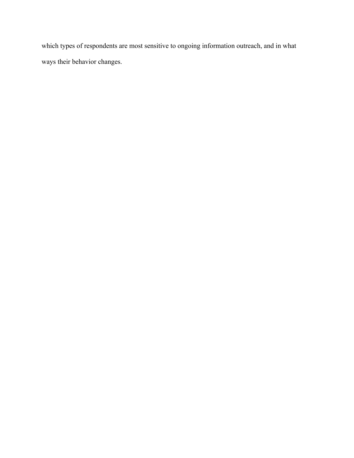which types of respondents are most sensitive to ongoing information outreach, and in what ways their behavior changes.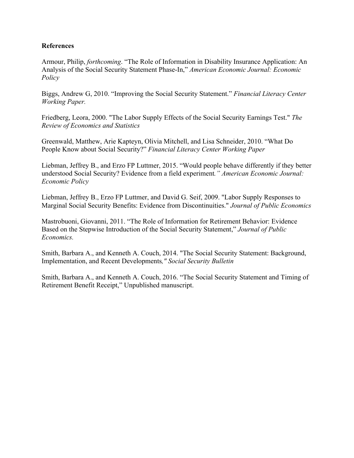# **References**

Armour, Philip, *forthcoming*. "The Role of Information in Disability Insurance Application: An Analysis of the Social Security Statement Phase-In," *American Economic Journal: Economic Policy*

Biggs, Andrew G, 2010. "Improving the Social Security Statement." *Financial Literacy Center Working Paper.*

Friedberg, Leora, 2000. "The Labor Supply Effects of the Social Security Earnings Test." *The Review of Economics and Statistics*

Greenwald, Matthew, Arie Kapteyn, Olivia Mitchell, and Lisa Schneider, 2010. "What Do People Know about Social Security?" *Financial Literacy Center Working Paper*

Liebman, Jeffrey B., and Erzo FP Luttmer, 2015. "Would people behave differently if they better understood Social Security? Evidence from a field experiment*." American Economic Journal: Economic Policy*

Liebman, Jeffrey B., Erzo FP Luttmer, and David G. Seif, 2009. "Labor Supply Responses to Marginal Social Security Benefits: Evidence from Discontinuities." *Journal of Public Economics*

Mastrobuoni, Giovanni, 2011. "The Role of Information for Retirement Behavior: Evidence Based on the Stepwise Introduction of the Social Security Statement," *Journal of Public Economics.*

Smith, Barbara A., and Kenneth A. Couch, 2014. "The Social Security Statement: Background, Implementation, and Recent Developments*," Social Security Bulletin*

Smith, Barbara A., and Kenneth A. Couch, 2016. "The Social Security Statement and Timing of Retirement Benefit Receipt," Unpublished manuscript.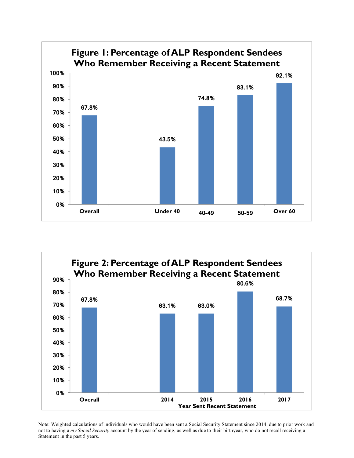



Note: Weighted calculations of individuals who would have been sent a Social Security Statement since 2014, due to prior work and not to having a *my Social Security* account by the year of sending, as well as due to their birthyear, who do not recall receiving a Statement in the past 5 years.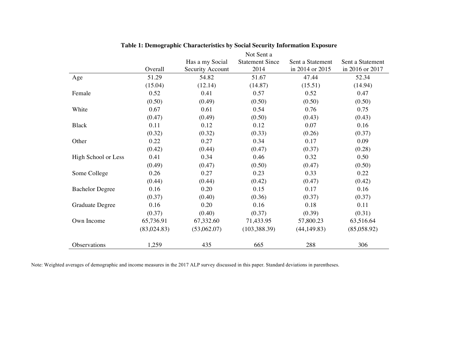|                        |             |                  | Not Sent a             |                  |                  |
|------------------------|-------------|------------------|------------------------|------------------|------------------|
|                        |             | Has a my Social  | <b>Statement Since</b> | Sent a Statement | Sent a Statement |
|                        | Overall     | Security Account | 2014                   | in 2014 or 2015  | in 2016 or 2017  |
| Age                    | 51.29       | 54.82            | 51.67                  | 47.44            | 52.34            |
|                        | (15.04)     | (12.14)          | (14.87)                | (15.51)          | (14.94)          |
| Female                 | 0.52        | 0.41             | 0.57                   | 0.52             | 0.47             |
|                        | (0.50)      | (0.49)           | (0.50)                 | (0.50)           | (0.50)           |
| White                  | 0.67        | 0.61             | 0.54                   | 0.76             | 0.75             |
|                        | (0.47)      | (0.49)           | (0.50)                 | (0.43)           | (0.43)           |
| <b>Black</b>           | 0.11        | 0.12             | 0.12                   | 0.07             | 0.16             |
|                        | (0.32)      | (0.32)           | (0.33)                 | (0.26)           | (0.37)           |
| Other                  | 0.22        | 0.27             | 0.34                   | 0.17             | 0.09             |
|                        | (0.42)      | (0.44)           | (0.47)                 | (0.37)           | (0.28)           |
| High School or Less    | 0.41        | 0.34             | 0.46                   | 0.32             | 0.50             |
|                        | (0.49)      | (0.47)           | (0.50)                 | (0.47)           | (0.50)           |
| Some College           | 0.26        | 0.27             | 0.23                   | 0.33             | 0.22             |
|                        | (0.44)      | (0.44)           | (0.42)                 | (0.47)           | (0.42)           |
| <b>Bachelor Degree</b> | 0.16        | 0.20             | 0.15                   | 0.17             | 0.16             |
|                        | (0.37)      | (0.40)           | (0.36)                 | (0.37)           | (0.37)           |
| Graduate Degree        | 0.16        | 0.20             | 0.16                   | 0.18             | 0.11             |
|                        | (0.37)      | (0.40)           | (0.37)                 | (0.39)           | (0.31)           |
| Own Income             | 65,736.91   | 67,332.60        | 71,433.95              | 57,800.23        | 63,516.64        |
|                        | (83,024.83) | (53,062.07)      | (103, 388.39)          | (44, 149.83)     | (85,058.92)      |
| Observations           | 1,259       | 435              | 665                    | 288              | 306              |

## **Table 1: Demographic Characteristics by Social Security Information Exposure**

Note: Weighted averages of demographic and income measures in the 2017 ALP survey discussed in this paper. Standard deviations in parentheses.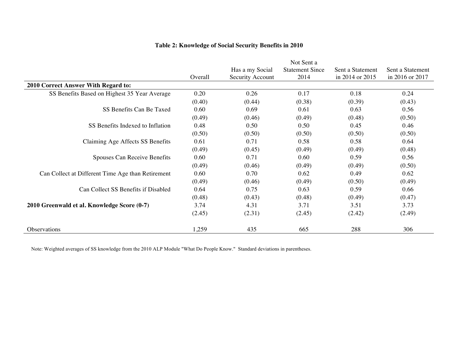|                                                   |         |                  | Not Sent a             |                  |                  |
|---------------------------------------------------|---------|------------------|------------------------|------------------|------------------|
|                                                   |         | Has a my Social  | <b>Statement Since</b> | Sent a Statement | Sent a Statement |
|                                                   | Overall | Security Account | 2014                   | in 2014 or 2015  | in 2016 or 2017  |
| 2010 Correct Answer With Regard to:               |         |                  |                        |                  |                  |
| SS Benefits Based on Highest 35 Year Average      | 0.20    | 0.26             | 0.17                   | 0.18             | 0.24             |
|                                                   | (0.40)  | (0.44)           | (0.38)                 | (0.39)           | (0.43)           |
| SS Benefits Can Be Taxed                          | 0.60    | 0.69             | 0.61                   | 0.63             | 0.56             |
|                                                   | (0.49)  | (0.46)           | (0.49)                 | (0.48)           | (0.50)           |
| SS Benefits Indexed to Inflation                  | 0.48    | 0.50             | 0.50                   | 0.45             | 0.46             |
|                                                   | (0.50)  | (0.50)           | (0.50)                 | (0.50)           | (0.50)           |
| Claiming Age Affects SS Benefits                  | 0.61    | 0.71             | 0.58                   | 0.58             | 0.64             |
|                                                   | (0.49)  | (0.45)           | (0.49)                 | (0.49)           | (0.48)           |
| Spouses Can Receive Benefits                      | 0.60    | 0.71             | 0.60                   | 0.59             | 0.56             |
|                                                   | (0.49)  | (0.46)           | (0.49)                 | (0.49)           | (0.50)           |
| Can Collect at Different Time Age than Retirement | 0.60    | 0.70             | 0.62                   | 0.49             | 0.62             |
|                                                   | (0.49)  | (0.46)           | (0.49)                 | (0.50)           | (0.49)           |
| Can Collect SS Benefits if Disabled               | 0.64    | 0.75             | 0.63                   | 0.59             | 0.66             |
|                                                   | (0.48)  | (0.43)           | (0.48)                 | (0.49)           | (0.47)           |
| 2010 Greenwald et al. Knowledge Score (0-7)       | 3.74    | 4.31             | 3.71                   | 3.51             | 3.73             |
|                                                   | (2.45)  | (2.31)           | (2.45)                 | (2.42)           | (2.49)           |
| Observations                                      | 1,259   | 435              | 665                    | 288              | 306              |

# **Table 2: Knowledge of Social Security Benefits in 2010**

Note: Weighted averages of SS knowledge from the 2010 ALP Module "What Do People Know." Standard deviations in parentheses.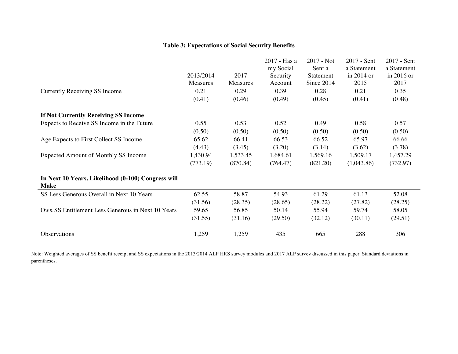# **Table 3: Expectations of Social Security Benefits**

|                                                                   |           |          | 2017 - Has a          | $2017 - Not$        | 2017 - Sent               | $2017 - Sent$             |
|-------------------------------------------------------------------|-----------|----------|-----------------------|---------------------|---------------------------|---------------------------|
|                                                                   | 2013/2014 | 2017     | my Social<br>Security | Sent a<br>Statement | a Statement<br>in 2014 or | a Statement<br>in 2016 or |
|                                                                   | Measures  | Measures | Account               | Since 2014          | 2015                      | 2017                      |
| Currently Receiving SS Income                                     | 0.21      | 0.29     | 0.39                  | 0.28                | 0.21                      | 0.35                      |
|                                                                   | (0.41)    | (0.46)   | (0.49)                | (0.45)              | (0.41)                    | (0.48)                    |
| If Not Currently Receiving SS Income                              |           |          |                       |                     |                           |                           |
| Expects to Receive SS Income in the Future                        | 0.55      | 0.53     | 0.52                  | 0.49                | 0.58                      | 0.57                      |
|                                                                   | (0.50)    | (0.50)   | (0.50)                | (0.50)              | (0.50)                    | (0.50)                    |
| Age Expects to First Collect SS Income                            | 65.62     | 66.41    | 66.53                 | 66.52               | 65.97                     | 66.66                     |
|                                                                   | (4.43)    | (3.45)   | (3.20)                | (3.14)              | (3.62)                    | (3.78)                    |
| <b>Expected Amount of Monthly SS Income</b>                       | 1,430.94  | 1,533.45 | 1,684.61              | 1,569.16            | 1,509.17                  | 1,457.29                  |
|                                                                   | (773.19)  | (870.84) | (764.47)              | (821.20)            | (1,043.86)                | (732.97)                  |
| In Next 10 Years, Likelihood (0-100) Congress will<br><b>Make</b> |           |          |                       |                     |                           |                           |
| SS Less Generous Overall in Next 10 Years                         | 62.55     | 58.87    | 54.93                 | 61.29               | 61.13                     | 52.08                     |
|                                                                   | (31.56)   | (28.35)  | (28.65)               | (28.22)             | (27.82)                   | (28.25)                   |
| Own SS Entitlement Less Generous in Next 10 Years                 | 59.65     | 56.85    | 50.14                 | 55.94               | 59.74                     | 58.05                     |
|                                                                   | (31.55)   | (31.16)  | (29.50)               | (32.12)             | (30.11)                   | (29.51)                   |
| <b>Observations</b>                                               | 1,259     | 1,259    | 435                   | 665                 | 288                       | 306                       |

Note: Weighted averages of SS benefit receipt and SS expectations in the 2013/2014 ALP HRS survey modules and 2017 ALP survey discussed in this paper. Standard deviations in parentheses.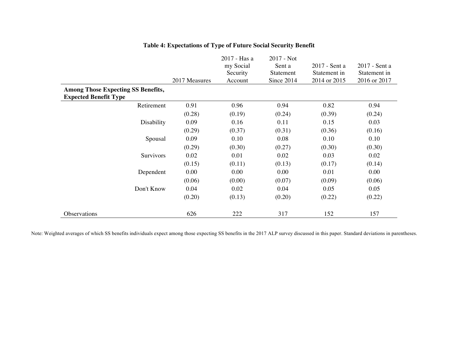|                                                                           | 2017 Measures | 2017 - Has a<br>my Social<br>Security<br>Account | 2017 - Not<br>Sent a<br>Statement<br>Since 2014 | 2017 - Sent a<br>Statement in<br>2014 or 2015 | 2017 - Sent a<br>Statement in<br>2016 or 2017 |
|---------------------------------------------------------------------------|---------------|--------------------------------------------------|-------------------------------------------------|-----------------------------------------------|-----------------------------------------------|
| <b>Among Those Expecting SS Benefits,</b><br><b>Expected Benefit Type</b> |               |                                                  |                                                 |                                               |                                               |
| Retirement                                                                | 0.91          | 0.96                                             | 0.94                                            | 0.82                                          | 0.94                                          |
|                                                                           | (0.28)        | (0.19)                                           | (0.24)                                          | (0.39)                                        | (0.24)                                        |
| Disability                                                                | 0.09          | 0.16                                             | 0.11                                            | 0.15                                          | 0.03                                          |
|                                                                           | (0.29)        | (0.37)                                           | (0.31)                                          | (0.36)                                        | (0.16)                                        |
| Spousal                                                                   | 0.09          | 0.10                                             | 0.08                                            | 0.10                                          | 0.10                                          |
|                                                                           | (0.29)        | (0.30)                                           | (0.27)                                          | (0.30)                                        | (0.30)                                        |
| Survivors                                                                 | 0.02          | 0.01                                             | 0.02                                            | 0.03                                          | 0.02                                          |
|                                                                           | (0.15)        | (0.11)                                           | (0.13)                                          | (0.17)                                        | (0.14)                                        |
| Dependent                                                                 | 0.00          | 0.00                                             | 0.00                                            | 0.01                                          | 0.00                                          |
|                                                                           | (0.06)        | (0.00)                                           | (0.07)                                          | (0.09)                                        | (0.06)                                        |
| Don't Know                                                                | 0.04          | 0.02                                             | 0.04                                            | 0.05                                          | 0.05                                          |
|                                                                           | (0.20)        | (0.13)                                           | (0.20)                                          | (0.22)                                        | (0.22)                                        |
| Observations                                                              | 626           | 222                                              | 317                                             | 152                                           | 157                                           |

# **Table 4: Expectations of Type of Future Social Security Benefit**

Note: Weighted averages of which SS benefits individuals expect among those expecting SS benefits in the 2017 ALP survey discussed in this paper. Standard deviations in parentheses.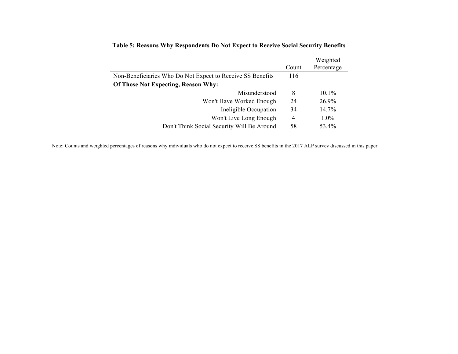|                                                            |       | Weighted   |
|------------------------------------------------------------|-------|------------|
|                                                            | Count | Percentage |
| Non-Beneficiaries Who Do Not Expect to Receive SS Benefits | 116   |            |
| Of Those Not Expecting, Reason Why:                        |       |            |
| Misunderstood                                              | 8     | $10.1\%$   |
| Won't Have Worked Enough                                   | 24    | 26.9%      |
| Ineligible Occupation                                      | 34    | 14.7%      |
| Won't Live Long Enough                                     | 4     | $1.0\%$    |
| Don't Think Social Security Will Be Around                 | 58    | 53.4%      |

# **Table 5: Reasons Why Respondents Do Not Expect to Receive Social Security Benefits**

Note: Counts and weighted percentages of reasons why individuals who do not expect to receive SS benefits in the 2017 ALP survey discussed in this paper.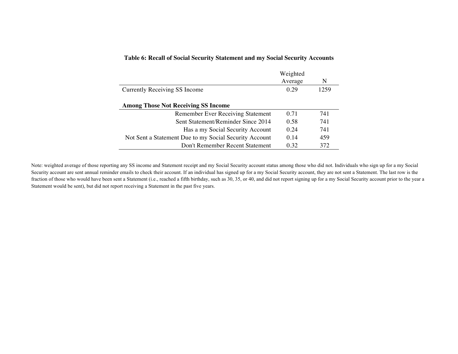### **Table 6: Recall of Social Security Statement and my Social Security Accounts**

|                                                        | Weighted |      |
|--------------------------------------------------------|----------|------|
|                                                        | Average  | N    |
| Currently Receiving SS Income                          | 0.29     | 1259 |
|                                                        |          |      |
| <b>Among Those Not Receiving SS Income</b>             |          |      |
| <b>Remember Ever Receiving Statement</b>               | 0.71     | 741  |
| Sent Statement/Reminder Since 2014                     | 0.58     | 741  |
| Has a my Social Security Account                       | 0.24     | 741  |
| Not Sent a Statement Due to my Social Security Account | 0.14     | 459  |
| Don't Remember Recent Statement                        | 0.32     | 372  |

Note: weighted average of those reporting any SS income and Statement receipt and my Social Security account status among those who did not. Individuals who sign up for a my Social Security account are sent annual reminder emails to check their account. If an individual has signed up for a my Social Security account, they are not sent a Statement. The last row is the fraction of those who would have been sent a Statement (i.e., reached a fifth birthday, such as 30, 35, or 40, and did not report signing up for a my Social Security account prior to the year a Statement would be sent), but did not report receiving a Statement in the past five years.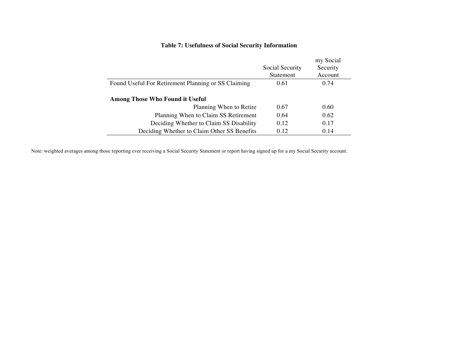# **Table 7: Usefulness of Social Security Information**

|                                                     |                 | my Social |
|-----------------------------------------------------|-----------------|-----------|
|                                                     | Social Security | Security  |
|                                                     | Statement       | Account   |
| Found Useful For Retirement Planning or SS Claiming | 0.61            | 0.74      |
| <b>Among Those Who Found it Useful</b>              |                 |           |
| Planning When to Retire                             | 0.67            | 0.60      |
| Planning When to Claim SS Retirement                | 0.64            | 0.62      |
| Deciding Whether to Claim SS Disability             | 0.12            | 0.17      |
| Deciding Whether to Claim Other SS Benefits         | 0.12            | 0.14      |

Note: weighted averages among those reporting ever receiving a Social Security Statement or report having signed up for a my Social Security account.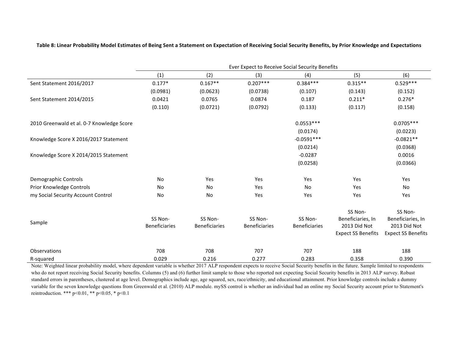|                                           |                      |                      | Ever Expect to Receive Social Security Benefits |                      |                           |                           |
|-------------------------------------------|----------------------|----------------------|-------------------------------------------------|----------------------|---------------------------|---------------------------|
|                                           | (1)                  | (2)                  | (3)                                             | (4)                  | (5)                       | (6)                       |
| Sent Statement 2016/2017                  | $0.177*$             | $0.167**$            | $0.207***$                                      | $0.384***$           | $0.315**$                 | $0.529***$                |
|                                           | (0.0981)             | (0.0623)             | (0.0738)                                        | (0.107)              | (0.143)                   | (0.152)                   |
| Sent Statement 2014/2015                  | 0.0421               | 0.0765               | 0.0874                                          | 0.187                | $0.211*$                  | $0.276*$                  |
|                                           | (0.110)              | (0.0721)             | (0.0792)                                        | (0.133)              | (0.117)                   | (0.158)                   |
| 2010 Greenwald et al. 0-7 Knowledge Score |                      |                      |                                                 | $0.0553***$          |                           | $0.0705***$               |
|                                           |                      |                      |                                                 | (0.0174)             |                           | (0.0223)                  |
| Knowledge Score X 2016/2017 Statement     |                      |                      |                                                 | $-0.0591***$         |                           | $-0.0821**$               |
|                                           |                      |                      |                                                 | (0.0214)             |                           | (0.0368)                  |
| Knowledge Score X 2014/2015 Statement     |                      |                      |                                                 | $-0.0287$            |                           | 0.0016                    |
|                                           |                      |                      |                                                 | (0.0258)             |                           | (0.0366)                  |
| Demographic Controls                      | No                   | Yes                  | Yes                                             | Yes                  | Yes                       | Yes                       |
| Prior Knowledge Controls                  | No                   | No                   | Yes                                             | No                   | Yes                       | No                        |
| my Social Security Account Control        | No                   | No                   | Yes                                             | Yes                  | Yes                       | Yes                       |
|                                           |                      |                      |                                                 |                      | SS Non-                   | SS Non-                   |
| Sample                                    | SS Non-              | SS Non-              | SS Non-                                         | SS Non-              | Beneficiaries, In         | Beneficiaries, In         |
|                                           | <b>Beneficiaries</b> | <b>Beneficiaries</b> | <b>Beneficiaries</b>                            | <b>Beneficiaries</b> | 2013 Did Not              | 2013 Did Not              |
|                                           |                      |                      |                                                 |                      | <b>Expect SS Benefits</b> | <b>Expect SS Benefits</b> |
| Observations                              | 708                  | 708                  | 707                                             | 707                  | 188                       | 188                       |
| R-squared                                 | 0.029                | 0.216                | 0.277                                           | 0.283                | 0.358                     | 0.390                     |

Table 8: Linear Probability Model Estimates of Being Sent a Statement on Expectation of Receiving Social Security Benefits, by Prior Knowledge and Expectations

Note: Weighted linear probability model, where dependent variable is whether 2017 ALP respondent expects to receive Social Security benefits in the future. Sample limited to respondents who do not report receiving Social Security benefits. Columns (5) and (6) further limit sample to those who reported not expecting Social Security benefits in 2013 ALP survey. Robust standard errors in parentheses, clustered at age level. Demographics include age, age squared, sex, race/ethnicity, and educational attainment. Prior knowledge controls include a dummy variable for the seven knowledge questions from Greenwald et al. (2010) ALP module. mySS control is whether an individual had an online my Social Security account prior to Statement's reintroduction. \*\*\* p<0.01, \*\* p<0.05, \* p<0.1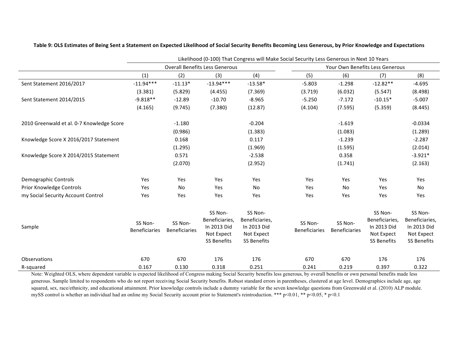|                                           | Likelihood (0-100) That Congress will Make Social Security Less Generous in Next 10 Years |                                 |                                                                              |                                                                              |                                 |                                 |                                                                              |                                                                              |
|-------------------------------------------|-------------------------------------------------------------------------------------------|---------------------------------|------------------------------------------------------------------------------|------------------------------------------------------------------------------|---------------------------------|---------------------------------|------------------------------------------------------------------------------|------------------------------------------------------------------------------|
|                                           |                                                                                           |                                 | <b>Overall Benefits Less Generous</b>                                        |                                                                              |                                 |                                 | Your Own Benefits Less Generous                                              |                                                                              |
|                                           | (1)                                                                                       | (2)                             | (3)                                                                          | (4)                                                                          | (5)                             | (6)                             | (7)                                                                          | (8)                                                                          |
| Sent Statement 2016/2017                  | $-11.94***$                                                                               | $-11.13*$                       | $-13.94***$                                                                  | $-13.58*$                                                                    | $-5.803$                        | $-1.298$                        | $-12.82**$                                                                   | $-4.695$                                                                     |
|                                           | (3.381)                                                                                   | (5.829)                         | (4.455)                                                                      | (7.369)                                                                      | (3.719)                         | (6.032)                         | (5.547)                                                                      | (8.498)                                                                      |
| Sent Statement 2014/2015                  | $-9.818**$                                                                                | $-12.89$                        | $-10.70$                                                                     | $-8.965$                                                                     | $-5.250$                        | $-7.172$                        | $-10.15*$                                                                    | $-5.007$                                                                     |
|                                           | (4.165)                                                                                   | (9.745)                         | (7.380)                                                                      | (12.87)                                                                      | (4.104)                         | (7.595)                         | (5.359)                                                                      | (8.445)                                                                      |
| 2010 Greenwald et al. 0-7 Knowledge Score |                                                                                           | $-1.180$                        |                                                                              | $-0.204$                                                                     |                                 | $-1.619$                        |                                                                              | $-0.0334$                                                                    |
|                                           |                                                                                           | (0.986)                         |                                                                              | (1.383)                                                                      |                                 | (1.083)                         |                                                                              | (1.289)                                                                      |
| Knowledge Score X 2016/2017 Statement     |                                                                                           | 0.168                           |                                                                              | 0.117                                                                        |                                 | $-1.239$                        |                                                                              | $-2.287$                                                                     |
|                                           |                                                                                           | (1.295)                         |                                                                              | (1.969)                                                                      |                                 | (1.595)                         |                                                                              | (2.014)                                                                      |
| Knowledge Score X 2014/2015 Statement     |                                                                                           | 0.571                           |                                                                              | $-2.538$                                                                     |                                 | 0.358                           |                                                                              | $-3.921*$                                                                    |
|                                           |                                                                                           | (2.070)                         |                                                                              | (2.952)                                                                      |                                 | (1.741)                         |                                                                              | (2.163)                                                                      |
| Demographic Controls                      | Yes                                                                                       | Yes                             | Yes                                                                          | Yes                                                                          | Yes                             | Yes                             | Yes                                                                          | Yes                                                                          |
| Prior Knowledge Controls                  | Yes                                                                                       | No                              | Yes                                                                          | No                                                                           | Yes                             | No                              | Yes                                                                          | No                                                                           |
| my Social Security Account Control        | Yes                                                                                       | Yes                             | Yes                                                                          | Yes                                                                          | Yes                             | Yes                             | Yes                                                                          | Yes                                                                          |
| Sample                                    | SS Non-<br><b>Beneficiaries</b>                                                           | SS Non-<br><b>Beneficiaries</b> | SS Non-<br>Beneficiaries,<br>In 2013 Did<br>Not Expect<br><b>SS Benefits</b> | SS Non-<br>Beneficiaries,<br>In 2013 Did<br>Not Expect<br><b>SS Benefits</b> | SS Non-<br><b>Beneficiaries</b> | SS Non-<br><b>Beneficiaries</b> | SS Non-<br>Beneficiaries,<br>In 2013 Did<br>Not Expect<br><b>SS Benefits</b> | SS Non-<br>Beneficiaries,<br>In 2013 Did<br>Not Expect<br><b>SS Benefits</b> |
| Observations                              | 670                                                                                       | 670                             | 176                                                                          | 176                                                                          | 670                             | 670                             | 176                                                                          | 176                                                                          |
| R-squared                                 | 0.167                                                                                     | 0.130                           | 0.318                                                                        | 0.251                                                                        | 0.241                           | 0.219                           | 0.397                                                                        | 0.322                                                                        |

Table 9: OLS Estimates of Being Sent a Statement on Expected Likelihood of Social Security Benefits Becoming Less Generous, by Prior Knowledge and Expectations

Note: Weighted OLS, where dependent variable is expected likelihood of Congress making Social Security benefits less generous, by overall benefits or own personal benefits made less generous. Sample limited to respondents who do not report receiving Social Security benefits. Robust standard errors in parentheses, clustered at age level. Demographics include age, age squared, sex, race/ethnicity, and educational attainment. Prior knowledge controls include a dummy variable for the seven knowledge questions from Greenwald et al. (2010) ALP module. mySS control is whether an individual had an online my Social Security account prior to Statement's reintroduction. \*\*\* p<0.01, \*\* p<0.05, \* p<0.1